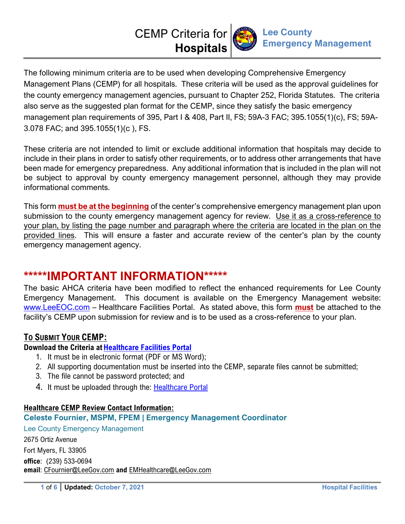# CEMP Criteria for **Hospitals**



The following minimum criteria are to be used when developing Comprehensive Emergency Management Plans (CEMP) for all hospitals. These criteria will be used as the approval guidelines for the county emergency management agencies, pursuant to Chapter 252, Florida Statutes. The criteria also serve as the suggested plan format for the CEMP, since they satisfy the basic emergency management plan requirements of 395, Part I & 408, Part II, FS; 59A-3 FAC; 395.1055(1)(c), FS; 59A-3.078 FAC; and 395.1055(1)(c ), FS.

These criteria are not intended to limit or exclude additional information that hospitals may decide to include in their plans in order to satisfy other requirements, or to address other arrangements that have been made for emergency preparedness. Any additional information that is included in the plan will not be subject to approval by county emergency management personnel, although they may provide informational comments.

This form **must be at the beginning** of the center's comprehensive emergency management plan upon submission to the county emergency management agency for review. Use it as a cross-reference to your plan, by listing the page number and paragraph where the criteria are located in the plan on the provided lines. This will ensure a faster and accurate review of the center's plan by the county emergency management agency.

## **\*\*\*\*\*IMPORTANT INFORMATION\*\*\*\*\***

The basic AHCA criteria have been modified to reflect the enhanced requirements for Lee County Emergency Management. This document is available on the Emergency Management website: www.LeeEOC.com – Healthcare Facilities Portal. As stated above, this form **must** be attached to the facility's CEMP upon submission for review and is to be used as a cross-reference to your plan.

## **TO SUBMIT YOUR CEMP:**

## **Download the Criteria at Healthcare Facilities Portal**

- 1. It must be in electronic format (PDF or MS Word);
- 2. All supporting documentation must be inserted into the CEMP, separate files cannot be submitted;
- 3. The file cannot be password protected; and
- 4. It must be uploaded through the: Healthcare Portal

## **Healthcare CEMP Review Contact Information:**

## **Celeste Fournier, MSPM, FPEM | Emergency Management Coordinator**

Lee County Emergency Management 2675 Ortiz Avenue Fort Myers, FL 33905 **office**: (239) 533-0694 **email**: CFournier@LeeGov.com **and** EMHealthcare@LeeGov.com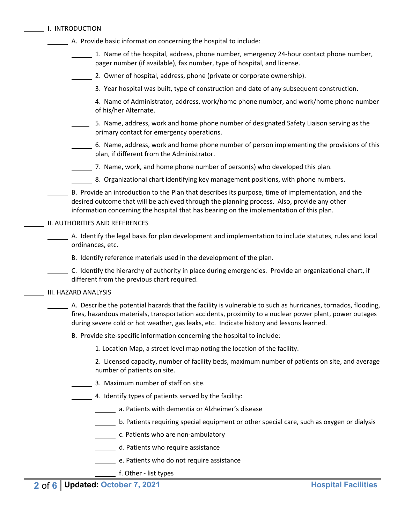|  | I. INTRODUCTION |
|--|-----------------|
|  |                 |

- A. Provide basic information concerning the hospital to include:
	- 1. Name of the hospital, address, phone number, emergency 24-hour contact phone number, pager number (if available), fax number, type of hospital, and license.
	- 2. Owner of hospital, address, phone (private or corporate ownership).
	- 3. Year hospital was built, type of construction and date of any subsequent construction.
	- 4. Name of Administrator, address, work/home phone number, and work/home phone number of his/her Alternate.
	- 5. Name, address, work and home phone number of designated Safety Liaison serving as the primary contact for emergency operations.
	- 6. Name, address, work and home phone number of person implementing the provisions of this plan, if different from the Administrator.
	- $\frac{1}{2}$ . Name, work, and home phone number of person(s) who developed this plan.
	- **8. Organizational chart identifying key management positions, with phone numbers.**
- B. Provide an introduction to the Plan that describes its purpose, time of implementation, and the desired outcome that will be achieved through the planning process. Also, provide any other information concerning the hospital that has bearing on the implementation of this plan.

#### II. AUTHORITIES AND REFERENCES

- A. Identify the legal basis for plan development and implementation to include statutes, rules and local ordinances, etc.
- B. Identify reference materials used in the development of the plan.
- C. Identify the hierarchy of authority in place during emergencies. Provide an organizational chart, if different from the previous chart required.

#### III. HAZARD ANALYSIS

- A. Describe the potential hazards that the facility is vulnerable to such as hurricanes, tornados, flooding, fires, hazardous materials, transportation accidents, proximity to a nuclear power plant, power outages during severe cold or hot weather, gas leaks, etc. Indicate history and lessons learned.
- B. Provide site‐specific information concerning the hospital to include:
	- 1. Location Map, a street level map noting the location of the facility.
	- 2. Licensed capacity, number of facility beds, maximum number of patients on site, and average number of patients on site.
	- 3. Maximum number of staff on site.
	- 4. Identify types of patients served by the facility:
		- **120. Example 20 a. Patients with dementia or Alzheimer's disease**
		- b. Patients requiring special equipment or other special care, such as oxygen or dialysis
		- **c.** Patients who are non-ambulatory
		- d. Patients who require assistance
		- e. Patients who do not require assistance
		- **f.** Other list types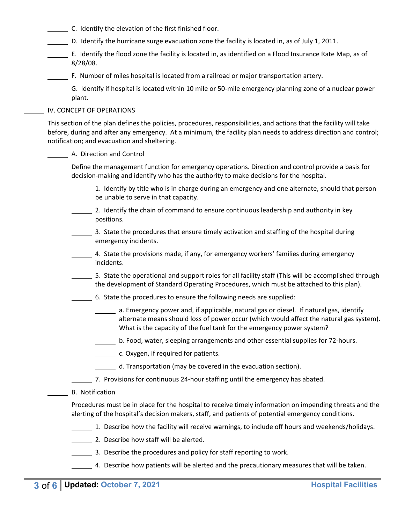- C. Identify the elevation of the first finished floor.
- D. Identify the hurricane surge evacuation zone the facility is located in, as of July 1, 2011.
- E. Identify the flood zone the facility is located in, as identified on a Flood Insurance Rate Map, as of 8/28/08.
- F. Number of miles hospital is located from a railroad or major transportation artery.
- G. Identify if hospital is located within 10 mile or 50‐mile emergency planning zone of a nuclear power plant.

#### IV. CONCEPT OF OPERATIONS

This section of the plan defines the policies, procedures, responsibilities, and actions that the facility will take before, during and after any emergency. At a minimum, the facility plan needs to address direction and control; notification; and evacuation and sheltering.

#### A. Direction and Control

Define the management function for emergency operations. Direction and control provide a basis for decision‐making and identify who has the authority to make decisions for the hospital.

- 1. Identify by title who is in charge during an emergency and one alternate, should that person be unable to serve in that capacity.
- 2. Identify the chain of command to ensure continuous leadership and authority in key positions.
- 3. State the procedures that ensure timely activation and staffing of the hospital during emergency incidents.
- 4. State the provisions made, if any, for emergency workers' families during emergency incidents.
- 5. State the operational and support roles for all facility staff (This will be accomplished through the development of Standard Operating Procedures, which must be attached to this plan).
- 6. State the procedures to ensure the following needs are supplied:
	- a. Emergency power and, if applicable, natural gas or diesel. If natural gas, identify alternate means should loss of power occur (which would affect the natural gas system). What is the capacity of the fuel tank for the emergency power system?
	- b. Food, water, sleeping arrangements and other essential supplies for 72‐hours.
	- c. Oxygen, if required for patients.
	- d. Transportation (may be covered in the evacuation section).
- 7. Provisions for continuous 24-hour staffing until the emergency has abated.
- B. Notification

Procedures must be in place for the hospital to receive timely information on impending threats and the alerting of the hospital's decision makers, staff, and patients of potential emergency conditions.

- 1. Describe how the facility will receive warnings, to include off hours and weekends/holidays.
- 2. Describe how staff will be alerted.
- 3. Describe the procedures and policy for staff reporting to work.
	- 4. Describe how patients will be alerted and the precautionary measures that will be taken.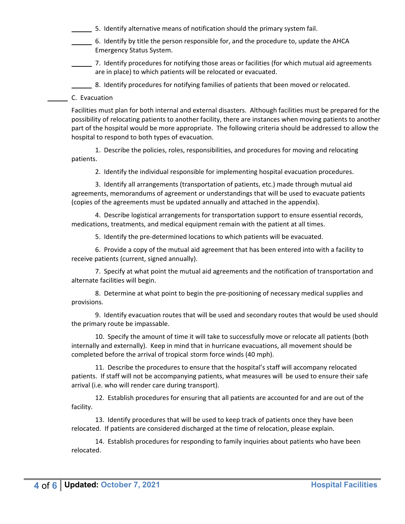5. Identify alternative means of notification should the primary system fail.

- 6. Identify by title the person responsible for, and the procedure to, update the AHCA Emergency Status System.
- 7. Identify procedures for notifying those areas or facilities (for which mutual aid agreements are in place) to which patients will be relocated or evacuated.

8. Identify procedures for notifying families of patients that been moved or relocated.

C. Evacuation

Facilities must plan for both internal and external disasters. Although facilities must be prepared for the possibility of relocating patients to another facility, there are instances when moving patients to another part of the hospital would be more appropriate. The following criteria should be addressed to allow the hospital to respond to both types of evacuation.

 1. Describe the policies, roles, responsibilities, and procedures for moving and relocating patients.

2. Identify the individual responsible for implementing hospital evacuation procedures.

 3. Identify all arrangements (transportation of patients, etc.) made through mutual aid agreements, memorandums of agreement or understandings that will be used to evacuate patients (copies of the agreements must be updated annually and attached in the appendix).

 4. Describe logistical arrangements for transportation support to ensure essential records, medications, treatments, and medical equipment remain with the patient at all times.

5. Identify the pre-determined locations to which patients will be evacuated.

 6. Provide a copy of the mutual aid agreement that has been entered into with a facility to receive patients (current, signed annually).

 7. Specify at what point the mutual aid agreements and the notification of transportation and alternate facilities will begin.

8. Determine at what point to begin the pre-positioning of necessary medical supplies and provisions.

 9. Identify evacuation routes that will be used and secondary routes that would be used should the primary route be impassable.

 10. Specify the amount of time it will take to successfully move or relocate all patients (both internally and externally). Keep in mind that in hurricane evacuations, all movement should be completed before the arrival of tropical storm force winds (40 mph).

 11. Describe the procedures to ensure that the hospital's staff will accompany relocated patients. If staff will not be accompanying patients, what measures will be used to ensure their safe arrival (i.e. who will render care during transport).

 12. Establish procedures for ensuring that all patients are accounted for and are out of the facility.

 13. Identify procedures that will be used to keep track of patients once they have been relocated. If patients are considered discharged at the time of relocation, please explain.

 14. Establish procedures for responding to family inquiries about patients who have been relocated.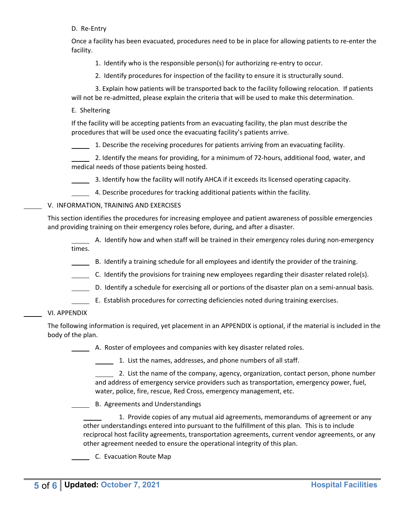D. Re-Entry

Once a facility has been evacuated, procedures need to be in place for allowing patients to re‐enter the facility.

1. Identify who is the responsible person(s) for authorizing re-entry to occur.

2. Identify procedures for inspection of the facility to ensure it is structurally sound.

 3. Explain how patients will be transported back to the facility following relocation. If patients will not be re-admitted, please explain the criteria that will be used to make this determination.

E. Sheltering

If the facility will be accepting patients from an evacuating facility, the plan must describe the procedures that will be used once the evacuating facility's patients arrive.

1. Describe the receiving procedures for patients arriving from an evacuating facility.

 2. Identify the means for providing, for a minimum of 72‐hours, additional food, water, and medical needs of those patients being hosted.

3. Identify how the facility will notify AHCA if it exceeds its licensed operating capacity.

4. Describe procedures for tracking additional patients within the facility.

#### V. INFORMATION, TRAINING AND EXERCISES

This section identifies the procedures for increasing employee and patient awareness of possible emergencies and providing training on their emergency roles before, during, and after a disaster.

 A. Identify how and when staff will be trained in their emergency roles during non‐emergency times.

- B. Identify a training schedule for all employees and identify the provider of the training.
- C. Identify the provisions for training new employees regarding their disaster related role(s).
- D. Identify a schedule for exercising all or portions of the disaster plan on a semi-annual basis.
- E. Establish procedures for correcting deficiencies noted during training exercises.

#### VI. APPENDIX

The following information is required, yet placement in an APPENDIX is optional, if the material is included in the body of the plan.

A. Roster of employees and companies with key disaster related roles.

1. List the names, addresses, and phone numbers of all staff.

 2. List the name of the company, agency, organization, contact person, phone number and address of emergency service providers such as transportation, emergency power, fuel, water, police, fire, rescue, Red Cross, emergency management, etc.

B. Agreements and Understandings

 1. Provide copies of any mutual aid agreements, memorandums of agreement or any other understandings entered into pursuant to the fulfillment of this plan. This is to include reciprocal host facility agreements, transportation agreements, current vendor agreements, or any other agreement needed to ensure the operational integrity of this plan.

C. Evacuation Route Map